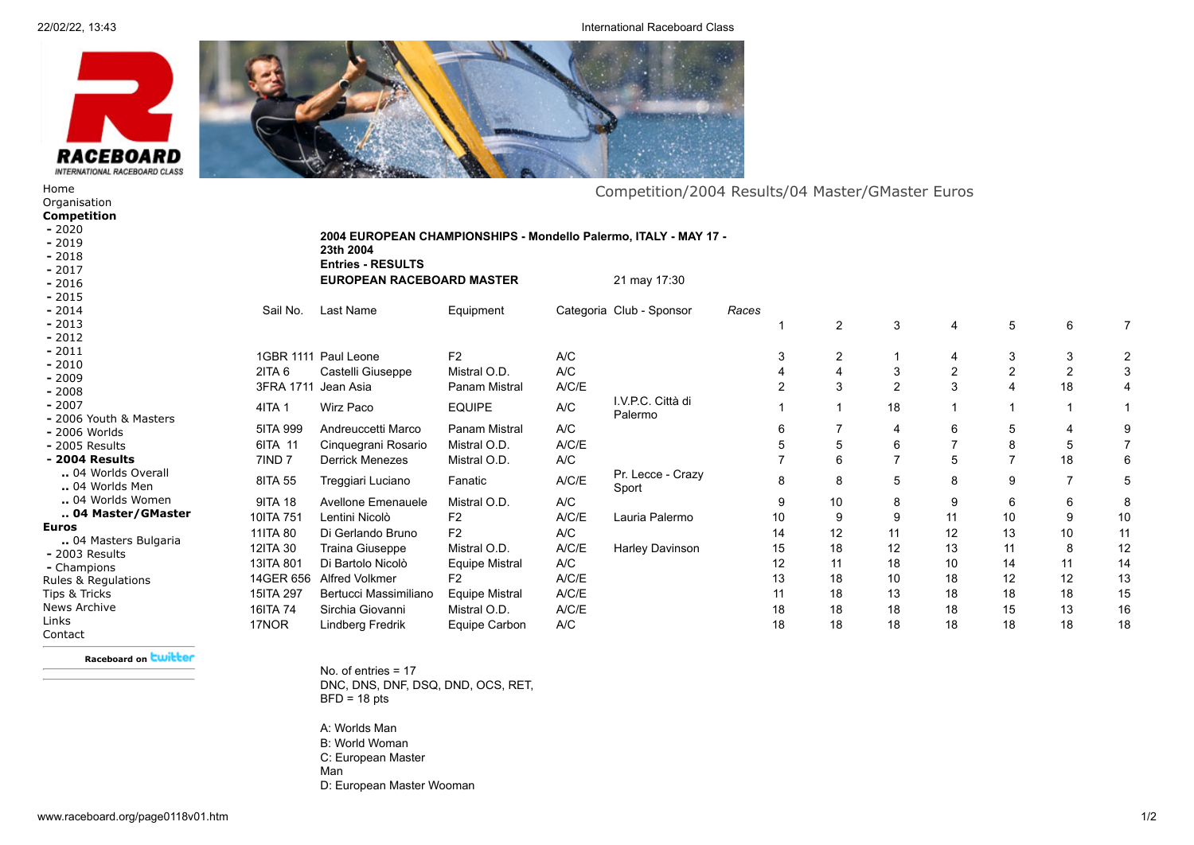22/02/22, 13:43 International Raceboard Class



**23th 2004**

**Entries - RESULTS**

**2004 EUROPEAN CHAMPIONSHIPS - Mondello Palermo, ITALY - MAY 17 -**

**EUROPEAN RACEBOARD MASTER** 21 may 17:30

# Competition/2004 Results/04 Master/GMaster Euros

[Organisation](http://www.raceboard.org/page0042v01.htm) **[Competition](http://www.raceboard.org/page0002v01.htm) -** [2020](http://www.raceboard.org/page0234v01.htm) **-** [2019](http://www.raceboard.org/page0233v01.htm) **-** [2018](http://www.raceboard.org/page0230v01.htm) **-** [2017](http://www.raceboard.org/page0227v01.htm)

**-** [2016](http://www.raceboard.org/page0223v01.htm) **-** [2015](http://www.raceboard.org/page0210v01.htm)

[Home](http://www.raceboard.org/page0001v01.htm)

**-** [2014](http://www.raceboard.org/page0206v01.htm)

**-** [2013](http://www.raceboard.org/page0199v01.htm)

**-** [2012](http://www.raceboard.org/page0191v01.htm)

**-** [2011](http://www.raceboard.org/page0178v01.htm)

**-** [2010](http://www.raceboard.org/page0153v01.htm)

**-** [2009](http://www.raceboard.org/page0154v01.htm) **-** [2008](http://www.raceboard.org/page0160v01.htm)

**-** [2007](http://www.raceboard.org/page0163v01.htm)

**-** [2006 Youth & Masters](http://www.raceboard.org/page0130v01.htm)

**-** [2006 Worlds](http://www.raceboard.org/page0131v01.htm)

**-** [2005 Results](http://www.raceboard.org/page0120v01.htm)

#### **- [2004 Results](http://www.raceboard.org/page0113v01.htm)**

**..** [04 Worlds Overall](http://www.raceboard.org/page0115v01.htm)

### **..** [04 Worlds Men](http://www.raceboard.org/page0116v01.htm)

**..** [04 Worlds Women](http://www.raceboard.org/page0117v01.htm)

## **.. [04 Master/GMaster](http://www.raceboard.org/page0118v01.htm)**

### **Euros**

[Contact](http://www.raceboard.org/page0006v01.htm)

**..** [04 Masters Bulgaria](http://www.raceboard.org/page0114v01.htm) **-** [2003 Results](http://www.raceboard.org/page0108v01.htm)

**-** [Champions](http://www.raceboard.org/page0107v01.htm) [Rules & Regulations](http://www.raceboard.org/page0017v01.htm) [Tips & Tricks](http://www.raceboard.org/page0189v01.htm)

[News Archive](http://www.raceboard.org/page0055v01.htm) [Links](http://www.raceboard.org/page0005v01.htm)

**[Raceboard on](http://twitter.com/Raceboard) Cwitter** 

No. of entries = 17 DNC, DNS, DNF, DSQ, DND, OCS, RET,  $BFD = 18$  pts

A: Worlds Man B: World Woman C: European Master Man D: European Master Wooman

| Sail No.            | Last Name              | Equipment             |       | Categoria Club - Sponsor     | Races |                |                |    |                |                |                |    |
|---------------------|------------------------|-----------------------|-------|------------------------------|-------|----------------|----------------|----|----------------|----------------|----------------|----|
|                     |                        |                       |       |                              |       |                | $\overline{2}$ | 3  | 4              | 5              | 6              |    |
|                     | 1GBR 1111 Paul Leone   | F <sub>2</sub>        | A/C   |                              |       | 3              | $\overline{2}$ |    | 4              | 3              | 3              |    |
| $2$ ITA 6           | Castelli Giuseppe      | Mistral O.D.          | A/C   |                              |       |                | 4              | 3  | $\overline{2}$ | $\overline{2}$ | $\overline{2}$ |    |
| 3FRA 1711 Jean Asia |                        | Panam Mistral         | A/C/E |                              |       | $\overline{2}$ | 3              | 2  | 3              | 4              | 18             |    |
| 4ITA 1              | Wirz Paco              | <b>EQUIPE</b>         | A/C   | I.V.P.C. Città di<br>Palermo |       |                |                | 18 |                |                |                |    |
| 5ITA 999            | Andreuccetti Marco     | Panam Mistral         | A/C   |                              |       | 6              |                | 4  | 6              | 5              | 4              |    |
| 6ITA 11             | Cinquegrani Rosario    | Mistral O.D.          | A/C/E |                              |       | 5              | 5              | 6  |                | 8              | 5              |    |
| 7IND <sub>7</sub>   | <b>Derrick Menezes</b> | Mistral O.D.          | A/C   |                              |       |                | 6              |    | 5              | 7              | 18             |    |
| 8ITA 55             | Treggiari Luciano      | Fanatic               | A/C/E | Pr. Lecce - Crazy<br>Sport   |       | 8              | 8              | 5  | 8              | 9              | 7              | 5  |
| 9ITA 18             | Avellone Emenauele     | Mistral O.D.          | A/C   |                              |       | 9              | 10             | 8  | 9              | 6              | 6              |    |
| 10ITA 751           | Lentini Nicolò         | F <sub>2</sub>        | A/C/E | Lauria Palermo               |       | 10             | 9              | 9  | 11             | 10             | 9              | 10 |
| 11ITA 80            | Di Gerlando Bruno      | F <sub>2</sub>        | A/C   |                              |       | 14             | 12             | 11 | 12             | 13             | 10             | 11 |
| 12ITA 30            | Traina Giuseppe        | Mistral O.D.          | A/C/E | Harley Davinson              |       | 15             | 18             | 12 | 13             | 11             | 8              | 12 |
| 13ITA 801           | Di Bartolo Nicolò      | <b>Equipe Mistral</b> | A/C   |                              |       | 12             | 11             | 18 | 10             | 14             | 11             | 14 |
| 14GER 656           | <b>Alfred Volkmer</b>  | F <sub>2</sub>        | A/C/E |                              |       | 13             | 18             | 10 | 18             | 12             | 12             | 13 |
| 15ITA 297           | Bertucci Massimiliano  | <b>Equipe Mistral</b> | A/C/E |                              |       | 11             | 18             | 13 | 18             | 18             | 18             | 15 |
| 16ITA 74            | Sirchia Giovanni       | Mistral O.D.          | A/C/E |                              |       | 18             | 18             | 18 | 18             | 15             | 13             | 16 |
| 17NOR               | Lindberg Fredrik       | Equipe Carbon         | A/C   |                              |       | 18             | 18             | 18 | 18             | 18             | 18             | 18 |